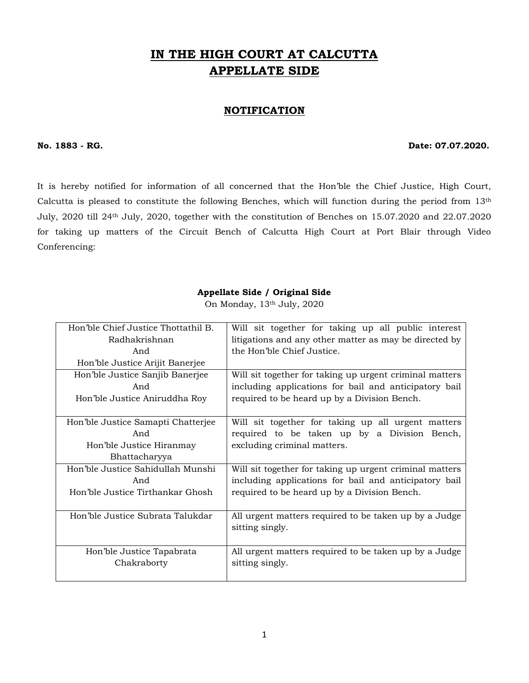# **IN THE HIGH COURT AT CALCUTTA APPELLATE SIDE**

#### **NOTIFICATION**

#### **No. 1883 - RG. Date: 07.07.2020.**

It is hereby notified for information of all concerned that the Hon'ble the Chief Justice, High Court, Calcutta is pleased to constitute the following Benches, which will function during the period from 13th July, 2020 till 24th July, 2020, together with the constitution of Benches on 15.07.2020 and 22.07.2020 for taking up matters of the Circuit Bench of Calcutta High Court at Port Blair through Video Conferencing:

#### **Appellate Side / Original Side**

On Monday, 13th July, 2020

| Hon'ble Chief Justice Thottathil B. | Will sit together for taking up all public interest     |
|-------------------------------------|---------------------------------------------------------|
| Radhakrishnan                       |                                                         |
|                                     | litigations and any other matter as may be directed by  |
| And                                 | the Hon'ble Chief Justice.                              |
| Hon'ble Justice Arijit Banerjee     |                                                         |
| Hon'ble Justice Sanjib Banerjee     | Will sit together for taking up urgent criminal matters |
| And                                 | including applications for bail and anticipatory bail   |
| Hon'ble Justice Aniruddha Roy       | required to be heard up by a Division Bench.            |
|                                     |                                                         |
| Hon'ble Justice Samapti Chatterjee  | Will sit together for taking up all urgent matters      |
| And                                 | required to be taken up by a Division Bench,            |
| Hon'ble Justice Hiranmay            | excluding criminal matters.                             |
| Bhattacharyya                       |                                                         |
| Hon'ble Justice Sahidullah Munshi   | Will sit together for taking up urgent criminal matters |
| And                                 | including applications for bail and anticipatory bail   |
| Hon'ble Justice Tirthankar Ghosh    | required to be heard up by a Division Bench.            |
|                                     |                                                         |
| Hon'ble Justice Subrata Talukdar    | All urgent matters required to be taken up by a Judge   |
|                                     | sitting singly.                                         |
|                                     |                                                         |
| Hon'ble Justice Tapabrata           | All urgent matters required to be taken up by a Judge   |
| Chakraborty                         | sitting singly.                                         |
|                                     |                                                         |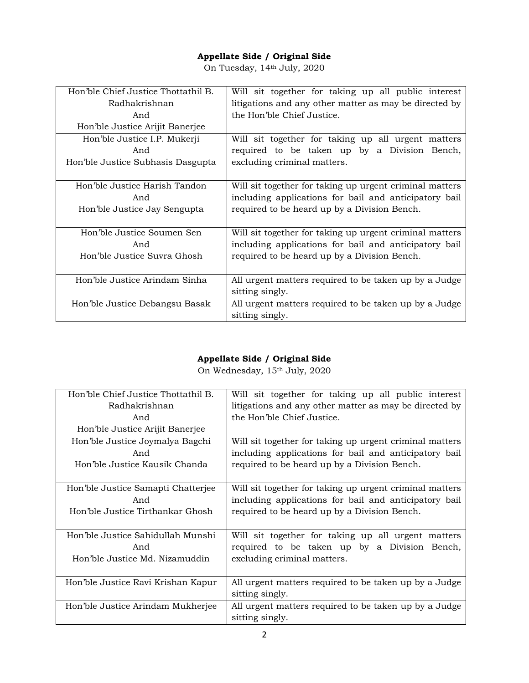On Tuesday, 14th July, 2020

| Hon'ble Chief Justice Thottathil B. | Will sit together for taking up all public interest     |
|-------------------------------------|---------------------------------------------------------|
| Radhakrishnan                       | litigations and any other matter as may be directed by  |
| And                                 | the Hon'ble Chief Justice.                              |
| Hon'ble Justice Arijit Banerjee     |                                                         |
| Hon'ble Justice I.P. Mukerji        | Will sit together for taking up all urgent matters      |
| And                                 | required to be taken up by a Division Bench,            |
| Hon'ble Justice Subhasis Dasgupta   | excluding criminal matters.                             |
|                                     |                                                         |
| Hon'ble Justice Harish Tandon       | Will sit together for taking up urgent criminal matters |
| And                                 | including applications for bail and anticipatory bail   |
| Hon'ble Justice Jay Sengupta        | required to be heard up by a Division Bench.            |
|                                     |                                                         |
| Hon'ble Justice Soumen Sen          | Will sit together for taking up urgent criminal matters |
| And                                 | including applications for bail and anticipatory bail   |
| Hon'ble Justice Suvra Ghosh         | required to be heard up by a Division Bench.            |
|                                     |                                                         |
| Hon'ble Justice Arindam Sinha       | All urgent matters required to be taken up by a Judge   |
|                                     | sitting singly.                                         |
| Hon'ble Justice Debangsu Basak      | All urgent matters required to be taken up by a Judge   |
|                                     | sitting singly.                                         |

### **Appellate Side / Original Side**

On Wednesday, 15th July, 2020

| Hon'ble Chief Justice Thottathil B. | Will sit together for taking up all public interest     |
|-------------------------------------|---------------------------------------------------------|
| Radhakrishnan                       | litigations and any other matter as may be directed by  |
| And                                 | the Hon'ble Chief Justice.                              |
| Hon'ble Justice Arijit Banerjee     |                                                         |
| Hon'ble Justice Joymalya Bagchi     | Will sit together for taking up urgent criminal matters |
| And                                 | including applications for bail and anticipatory bail   |
| Hon'ble Justice Kausik Chanda       | required to be heard up by a Division Bench.            |
|                                     |                                                         |
| Hon'ble Justice Samapti Chatterjee  | Will sit together for taking up urgent criminal matters |
| And                                 | including applications for bail and anticipatory bail   |
| Hon'ble Justice Tirthankar Ghosh    | required to be heard up by a Division Bench.            |
|                                     |                                                         |
| Hon'ble Justice Sahidullah Munshi   | Will sit together for taking up all urgent matters      |
| And                                 | required to be taken up by a Division Bench,            |
| Hon'ble Justice Md. Nizamuddin      | excluding criminal matters.                             |
|                                     |                                                         |
| Hon'ble Justice Ravi Krishan Kapur  | All urgent matters required to be taken up by a Judge   |
|                                     | sitting singly.                                         |
| Hon'ble Justice Arindam Mukherjee   | All urgent matters required to be taken up by a Judge   |
|                                     | sitting singly.                                         |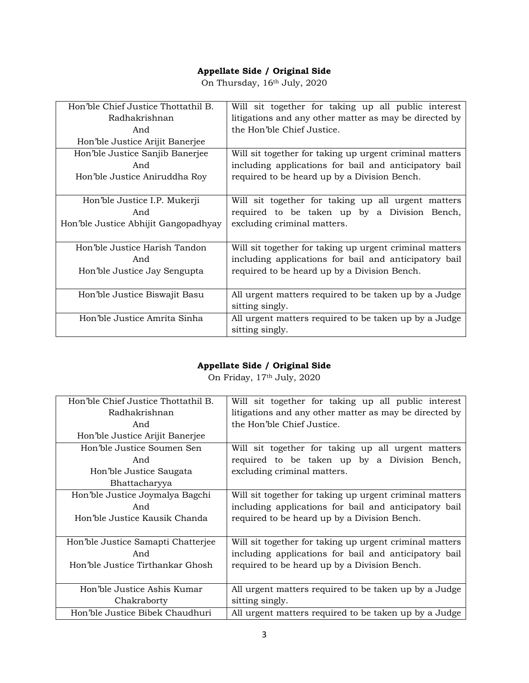On Thursday,  $16<sup>th</sup>$  July, 2020

| Hon'ble Chief Justice Thottathil B.  | Will sit together for taking up all public interest     |
|--------------------------------------|---------------------------------------------------------|
| Radhakrishnan                        | litigations and any other matter as may be directed by  |
| And                                  | the Hon'ble Chief Justice.                              |
| Hon'ble Justice Arijit Banerjee      |                                                         |
| Hon'ble Justice Sanjib Banerjee      | Will sit together for taking up urgent criminal matters |
| And                                  | including applications for bail and anticipatory bail   |
| Hon'ble Justice Aniruddha Roy        | required to be heard up by a Division Bench.            |
|                                      |                                                         |
| Hon'ble Justice I.P. Mukerji         | Will sit together for taking up all urgent matters      |
| And                                  | required to be taken up by a Division Bench,            |
|                                      |                                                         |
| Hon'ble Justice Abhijit Gangopadhyay | excluding criminal matters.                             |
|                                      |                                                         |
| Hon'ble Justice Harish Tandon        | Will sit together for taking up urgent criminal matters |
| And                                  | including applications for bail and anticipatory bail   |
| Hon'ble Justice Jay Sengupta         | required to be heard up by a Division Bench.            |
|                                      |                                                         |
| Hon'ble Justice Biswajit Basu        | All urgent matters required to be taken up by a Judge   |
|                                      | sitting singly.                                         |
| Hon'ble Justice Amrita Sinha         | All urgent matters required to be taken up by a Judge   |

### **Appellate Side / Original Side**

On Friday, 17th July, 2020

| Hon'ble Chief Justice Thottathil B. | Will sit together for taking up all public interest     |
|-------------------------------------|---------------------------------------------------------|
| Radhakrishnan                       | litigations and any other matter as may be directed by  |
| And                                 | the Hon'ble Chief Justice.                              |
| Hon'ble Justice Arijit Banerjee     |                                                         |
| Hon'ble Justice Soumen Sen          | Will sit together for taking up all urgent matters      |
| And                                 | required to be taken up by a Division Bench,            |
| Hon'ble Justice Saugata             | excluding criminal matters.                             |
| Bhattacharyya                       |                                                         |
| Hon'ble Justice Joymalya Bagchi     | Will sit together for taking up urgent criminal matters |
| And                                 | including applications for bail and anticipatory bail   |
| Hon'ble Justice Kausik Chanda       | required to be heard up by a Division Bench.            |
|                                     |                                                         |
| Hon'ble Justice Samapti Chatterjee  | Will sit together for taking up urgent criminal matters |
| And                                 | including applications for bail and anticipatory bail   |
| Hon'ble Justice Tirthankar Ghosh    | required to be heard up by a Division Bench.            |
|                                     |                                                         |
| Hon'ble Justice Ashis Kumar         | All urgent matters required to be taken up by a Judge   |
| Chakraborty                         | sitting singly.                                         |
| Hon'ble Justice Bibek Chaudhuri     | All urgent matters required to be taken up by a Judge   |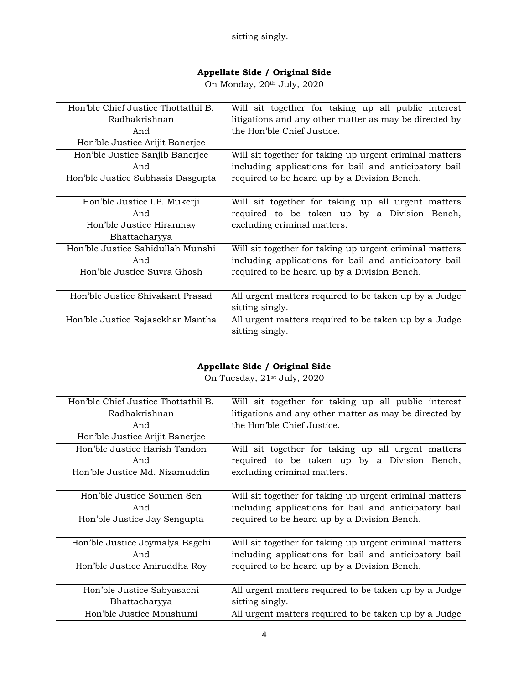| ົດາ | $\sim$ $\sim$ $\sim$ $\sim$<br><b>OTCOTT</b><br>້ |
|-----|---------------------------------------------------|
|-----|---------------------------------------------------|

On Monday, 20<sup>th</sup> July, 2020

| Hon'ble Chief Justice Thottathil B. | Will sit together for taking up all public interest     |
|-------------------------------------|---------------------------------------------------------|
| Radhakrishnan                       | litigations and any other matter as may be directed by  |
| And                                 | the Hon'ble Chief Justice.                              |
| Hon'ble Justice Arijit Banerjee     |                                                         |
| Hon'ble Justice Sanjib Banerjee     | Will sit together for taking up urgent criminal matters |
| And                                 | including applications for bail and anticipatory bail   |
| Hon'ble Justice Subhasis Dasgupta   | required to be heard up by a Division Bench.            |
|                                     |                                                         |
| Hon'ble Justice I.P. Mukerji        | Will sit together for taking up all urgent matters      |
| And                                 | required to be taken up by a Division Bench,            |
| Hon'ble Justice Hiranmay            | excluding criminal matters.                             |
| Bhattacharyya                       |                                                         |
| Hon'ble Justice Sahidullah Munshi   | Will sit together for taking up urgent criminal matters |
| And                                 | including applications for bail and anticipatory bail   |
| Hon'ble Justice Suvra Ghosh         | required to be heard up by a Division Bench.            |
|                                     |                                                         |
| Hon'ble Justice Shivakant Prasad    | All urgent matters required to be taken up by a Judge   |
|                                     | sitting singly.                                         |
| Hon'ble Justice Rajasekhar Mantha   | All urgent matters required to be taken up by a Judge   |
|                                     | sitting singly.                                         |

### **Appellate Side / Original Side**

On Tuesday, 21st July, 2020

| Hon'ble Chief Justice Thottathil B. | Will sit together for taking up all public interest     |
|-------------------------------------|---------------------------------------------------------|
| Radhakrishnan                       | litigations and any other matter as may be directed by  |
| And                                 | the Hon'ble Chief Justice.                              |
| Hon'ble Justice Arijit Banerjee     |                                                         |
| Hon'ble Justice Harish Tandon       | Will sit together for taking up all urgent matters      |
| And                                 | required to be taken up by a Division Bench,            |
| Hon'ble Justice Md. Nizamuddin      | excluding criminal matters.                             |
|                                     |                                                         |
| Hon'ble Justice Soumen Sen          | Will sit together for taking up urgent criminal matters |
| And                                 | including applications for bail and anticipatory bail   |
| Hon'ble Justice Jay Sengupta        | required to be heard up by a Division Bench.            |
|                                     |                                                         |
| Hon'ble Justice Joymalya Bagchi     | Will sit together for taking up urgent criminal matters |
| And                                 | including applications for bail and anticipatory bail   |
| Hon'ble Justice Aniruddha Roy       | required to be heard up by a Division Bench.            |
|                                     |                                                         |
| Hon'ble Justice Sabyasachi          | All urgent matters required to be taken up by a Judge   |
| Bhattacharyya                       | sitting singly.                                         |
| Hon'ble Justice Moushumi            | All urgent matters required to be taken up by a Judge   |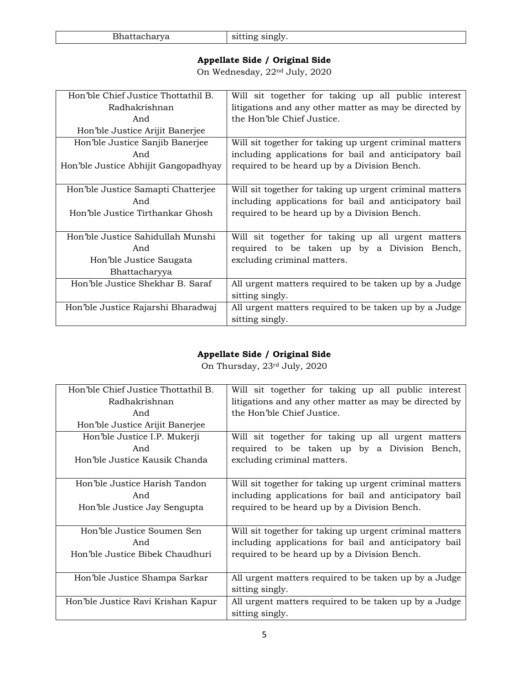| - נר<br>tacharya | $\sim$ singly.                            |
|------------------|-------------------------------------------|
|                  | $\sim$ $\sim$ $\sim$ $\sim$ $\sim$ $\sim$ |

On Wednesday, 22nd July, 2020

| Hon'ble Chief Justice Thottathil B.  | Will sit together for taking up all public interest     |
|--------------------------------------|---------------------------------------------------------|
| Radhakrishnan                        | litigations and any other matter as may be directed by  |
| And                                  | the Hon'ble Chief Justice.                              |
| Hon'ble Justice Arijit Banerjee      |                                                         |
| Hon'ble Justice Sanjib Banerjee      | Will sit together for taking up urgent criminal matters |
| And                                  | including applications for bail and anticipatory bail   |
| Hon'ble Justice Abhijit Gangopadhyay | required to be heard up by a Division Bench.            |
|                                      |                                                         |
| Hon'ble Justice Samapti Chatterjee   | Will sit together for taking up urgent criminal matters |
| And                                  | including applications for bail and anticipatory bail   |
| Hon'ble Justice Tirthankar Ghosh     | required to be heard up by a Division Bench.            |
|                                      |                                                         |
| Hon'ble Justice Sahidullah Munshi    | Will sit together for taking up all urgent matters      |
| And                                  | required to be taken up by a Division Bench,            |
| Hon'ble Justice Saugata              | excluding criminal matters.                             |
| Bhattacharyya                        |                                                         |
| Hon'ble Justice Shekhar B. Saraf     | All urgent matters required to be taken up by a Judge   |
|                                      | sitting singly.                                         |
| Hon'ble Justice Rajarshi Bharadwaj   | All urgent matters required to be taken up by a Judge   |
|                                      | sitting singly.                                         |

## **Appellate Side / Original Side**

On Thursday, 23rd July, 2020

| Hon'ble Chief Justice Thottathil B. | Will sit together for taking up all public interest     |
|-------------------------------------|---------------------------------------------------------|
| Radhakrishnan                       | litigations and any other matter as may be directed by  |
| And                                 | the Hon'ble Chief Justice.                              |
| Hon'ble Justice Arijit Banerjee     |                                                         |
| Hon'ble Justice I.P. Mukerji        | Will sit together for taking up all urgent matters      |
| And                                 | required to be taken up by a Division Bench,            |
| Hon'ble Justice Kausik Chanda       | excluding criminal matters.                             |
|                                     |                                                         |
| Hon'ble Justice Harish Tandon       | Will sit together for taking up urgent criminal matters |
| And                                 | including applications for bail and anticipatory bail   |
| Hon'ble Justice Jay Sengupta        | required to be heard up by a Division Bench.            |
|                                     |                                                         |
| Hon'ble Justice Soumen Sen          | Will sit together for taking up urgent criminal matters |
| And                                 | including applications for bail and anticipatory bail   |
| Hon'ble Justice Bibek Chaudhuri     | required to be heard up by a Division Bench.            |
|                                     |                                                         |
| Hon'ble Justice Shampa Sarkar       | All urgent matters required to be taken up by a Judge   |
|                                     | sitting singly.                                         |
| Hon'ble Justice Ravi Krishan Kapur  | All urgent matters required to be taken up by a Judge   |
|                                     | sitting singly.                                         |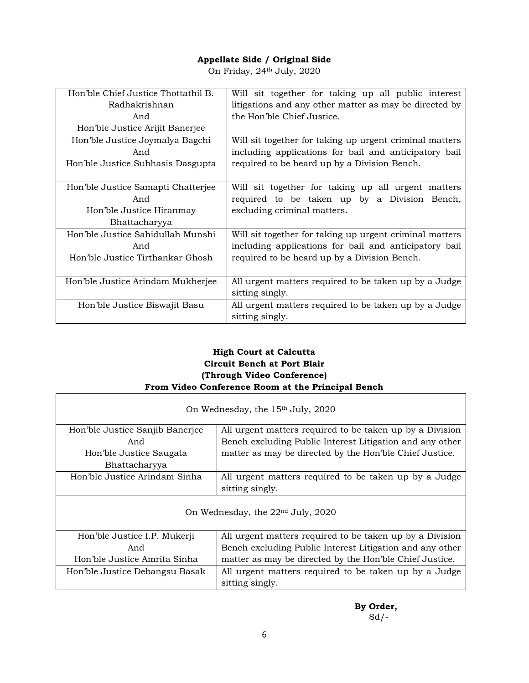On Friday, 24th July, 2020

| Hon'ble Chief Justice Thottathil B. | Will sit together for taking up all public interest     |
|-------------------------------------|---------------------------------------------------------|
| Radhakrishnan                       | litigations and any other matter as may be directed by  |
| And                                 | the Hon'ble Chief Justice.                              |
| Hon'ble Justice Arijit Banerjee     |                                                         |
| Hon'ble Justice Joymalya Bagchi     | Will sit together for taking up urgent criminal matters |
| And                                 | including applications for bail and anticipatory bail   |
| Hon'ble Justice Subhasis Dasgupta   | required to be heard up by a Division Bench.            |
|                                     |                                                         |
| Hon'ble Justice Samapti Chatterjee  | Will sit together for taking up all urgent matters      |
| And                                 | required to be taken up by a Division Bench,            |
| Hon'ble Justice Hiranmay            | excluding criminal matters.                             |
| Bhattacharyya                       |                                                         |
| Hon'ble Justice Sahidullah Munshi   | Will sit together for taking up urgent criminal matters |
| And                                 | including applications for bail and anticipatory bail   |
| Hon'ble Justice Tirthankar Ghosh    | required to be heard up by a Division Bench.            |
|                                     |                                                         |
| Hon'ble Justice Arindam Mukherjee   | All urgent matters required to be taken up by a Judge   |
|                                     | sitting singly.                                         |
| Hon'ble Justice Biswajit Basu       | All urgent matters required to be taken up by a Judge   |
|                                     | sitting singly.                                         |

#### **High Court at Calcutta Circuit Bench at Port Blair (Through Video Conference) From Video Conference Room at the Principal Bench**

| On Wednesday, the 15 <sup>th</sup> July, 2020 |                                                                          |
|-----------------------------------------------|--------------------------------------------------------------------------|
| Hon'ble Justice Sanjib Banerjee               | All urgent matters required to be taken up by a Division                 |
| And                                           | Bench excluding Public Interest Litigation and any other                 |
| Hon'ble Justice Saugata                       | matter as may be directed by the Hon'ble Chief Justice.                  |
| Bhattacharyya                                 |                                                                          |
| Hon'ble Justice Arindam Sinha                 | All urgent matters required to be taken up by a Judge                    |
|                                               | sitting singly.                                                          |
| On Wednesday, the 22 <sup>nd</sup> July, 2020 |                                                                          |
| Hon'ble Justice I.P. Mukerji                  | All urgent matters required to be taken up by a Division                 |
| And                                           | Bench excluding Public Interest Litigation and any other                 |
| Hon'ble Justice Amrita Sinha                  | matter as may be directed by the Hon'ble Chief Justice.                  |
| Hon'ble Justice Debangsu Basak                | All urgent matters required to be taken up by a Judge<br>sitting singly. |